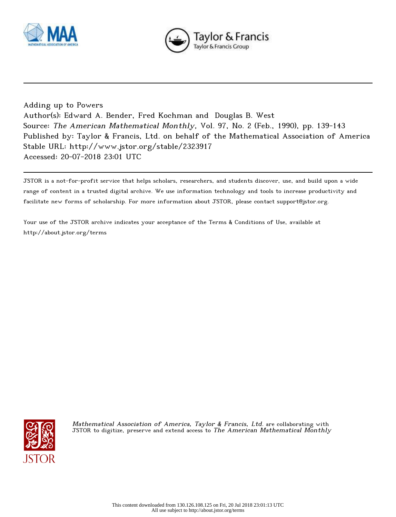



Adding up to Powers Author(s): Edward A. Bender, Fred Kochman and Douglas B. West Source: The American Mathematical Monthly, Vol. 97, No. 2 (Feb., 1990), pp. 139-143 Published by: Taylor & Francis, Ltd. on behalf of the Mathematical Association of America Stable URL: http://www.jstor.org/stable/2323917 Accessed: 20-07-2018 23:01 UTC

JSTOR is a not-for-profit service that helps scholars, researchers, and students discover, use, and build upon a wide range of content in a trusted digital archive. We use information technology and tools to increase productivity and facilitate new forms of scholarship. For more information about JSTOR, please contact support@jstor.org.

Your use of the JSTOR archive indicates your acceptance of the Terms & Conditions of Use, available at http://about.jstor.org/terms



Mathematical Association of America, Taylor & Francis, Ltd. are collaborating with JSTOR to digitize, preserve and extend access to The American Mathematical Monthly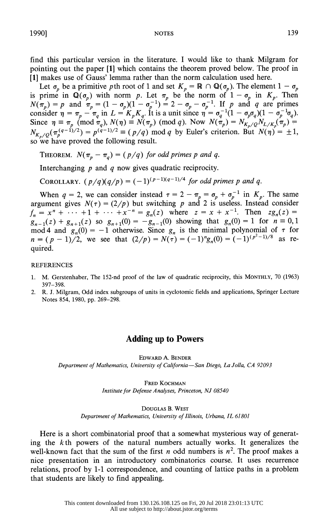**NOTES** 

find this particular version in the literature. I would like to thank Milgram for

pointing out the paper [1] which contains the theorem proved below. The proof in [1] makes use of Gauss' lemma rather than the norm calculation used here.

Let  $\sigma_p$  be a primitive pth root of 1 and set  $K_p = \mathbb{R} \cap \mathbb{Q}(\sigma_p)$ . The element  $1 - \sigma_p$ Let  $\sigma_p$  be a primitive purifold of 1 and set  $\kappa_p = \mathbb{R}$  ( $\pi_p$ ). The element  $1 - \sigma_p$ <br>is prime in  $\mathbb{Q}(\sigma_p)$  with norm p. Let  $\pi_p$  be the norm of  $1 - \sigma_p$  in  $K_p$ . Then<br> $N(\pi_p) = p$  and  $\pi_p = (1 - \sigma_p)(1 - \sigma_p^{-1}) = 2 - \sigma_p - \sigma_p^{$ so we have proved the following result.

THEOREM.  $N(\pi_p - \pi_q) = (p/q)$  for odd primes p and q.

Interchanging  $p$  and  $q$  now gives quadratic reciprocity.

COROLLARY.  $(p/q)(q/p) = (-1)^{(p-1)(q-1)/4}$  for odd primes p and q.

When  $q = 2$ , we can consider instead  $\tau = 2 - \pi_p = \sigma_p + \sigma_p^{-1}$  in  $K_p$ . The same argument gives  $N(\tau) = (2/p)$  but switching p and 2 is useless. Instead consider  $f_n = x^n + \cdots + 1 + \cdots + x^{-n} = g_n(z)$  where  $z = x + x^{-1}$ . Then  $zg_n(z) =$  $g_{n-1}(z) + g_{n+1}(z)$  so  $g_{n+1}(0) = -g_{n-1}(0)$  showing that  $g_n(0) = 1$  for  $n \equiv 0, 1$ <br>mod 4 and  $g_n(0) = -1$  otherwise. Since  $g_n$  is the minimal polynomial of  $\tau$  for  $n = (p-1)/2$ , we see that  $(2/p) = N(\tau) = (-1)^n g_n(0) = (-1)^{(p^2-1)/8}$ quired.

## **REFERENCES**

- 1. M. Gerstenhaber, The 152-nd proof of the law of quadratic reciprocity, this MONTHLY, 70 (1963) 397-398.
- 2. R. J. Milgram, Odd index subgroups of units in cyclotomic fields and applications, Springer Lecture Notes 854, 1980, pp. 269-298.

## **Adding up to Powers**

EDWARD A. BENDER Department of Mathematics, University of California-San Diego, La Jolla, CA 92093

> FRED KOCHMAN Institute for Defense Analyses, Princeton, NJ 08540

DOUGLAS B. WEST Department of Mathematics, University of Illinois, Urbana, IL 61801

Here is a short combinatorial proof that a somewhat mysterious way of generating the  $k$ th powers of the natural numbers actually works. It generalizes the well-known fact that the sum of the first *n* odd numbers is  $n^2$ . The proof makes a nice presentation in an introductory combinatorics course. It uses recurrence relations, proof by 1-1 correspondence, and counting of lattice paths in a problem that students are likely to find appealing.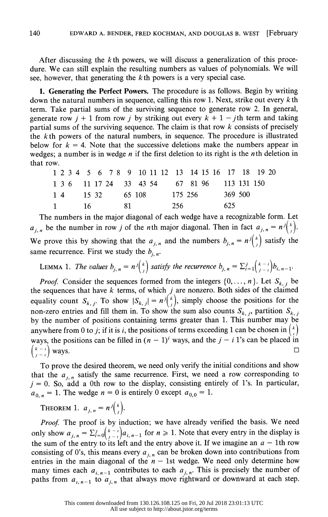After discussing the  $k$ th powers, we will discuss a generalization of this proce dure. We can still explain the resulting numbers as values of polynomials. We will see, however, that generating the  $k$  th powers is a very special case.

 1. Generating the Perfect Powers. The procedure is as follows. Begin by writing down the natural numbers in sequence, calling this row 1. Next, strike out every  $k$  th term. Take partial sums of the surviving sequence to generate row 2. In general, generate row  $j + 1$  from row j by striking out every  $k + 1 - j$ th term and taking partial sums of the surviving sequence. The claim is that row  $k$  consists of precisely the  $k$ th powers of the natural numbers, in sequence. The procedure is illustrated below for  $k = 4$ . Note that the successive deletions make the numbers appear in wedges; a number is in wedge  $n$  if the first deletion to its right is the  $n$ th deletion in that row.

|  |  |         |  |  |  | 1 2 3 4 5 6 7 8 9 10 11 12 13 14 15 16 17 18 19 20 |  |     |  |  |
|--|--|---------|--|--|--|----------------------------------------------------|--|-----|--|--|
|  |  |         |  |  |  | 1 3 6 11 17 24 33 43 54 67 81 96 113 131 150       |  |     |  |  |
|  |  |         |  |  |  | 1 4 15 32 65 108 175 256 369 500                   |  |     |  |  |
|  |  | 1 16 81 |  |  |  | 256                                                |  | 625 |  |  |
|  |  |         |  |  |  |                                                    |  |     |  |  |

 The numbers in the major diagonal of each wedge have a recognizable form. Let  $a_{j,n}$  be the number in row j of the nth major diagonal. Then in fact  $a_{j,n} = n^{j} \binom{k}{j}$ . We prove this by showing that the  $a_{j,n}$  and the numbers  $b_{j,n} = n^{j} \binom{k}{j}$  satisfy the same recurrence. First we study the  $b_{i,n}$ .

LEMMA 1. The values 
$$
b_{j,n} = n^{j} {k \choose j}
$$
 satisfy the recurrence  $b_{j,n} = \sum_{i=1}^{j} {k-i \choose j-i} b_{i,n-1}$ .

*Proof.* Consider the sequences formed from the integers  $\{0, \ldots, n\}$ . Let  $S_{k, j}$  be the sequences that have k terms, of which  $j$  are nonzero. Both sides of the claimed equality count  $S_{k, j}$ . To show  $|S_{k, j}| = n^{j} {k \choose j}$ , simply choose the positions for the non-zero entries and fill them in. To show the sum also counts  $S_{k,j}$ , partition  $S_{k,j}$  by the number of positions containing terms greater than 1. This number may be anywhere from 0 to j; if it is i, the positions of terms exceeding 1 can be chosen in  $\binom{k}{k}$ ways, the positions can be filled in  $(n - 1)^i$  ways, and the  $j - i$  1's can be placed in  $\binom{k-i}{j-i}$  ways.

 $\begin{bmatrix} 1 \end{bmatrix}$  ways.<br>To prove the desired theorem, we need only verify the initial conditions and show To prove the desired theorem, we need only verify the initial conditions and show<br>that the  $a_{j,n}$  satisfy the same recurrence. First, we need a row corresponding to<br> $i = 0$ . So add a 0th row to the display, consisting ent that the  $a_{j,n}$  satisfy the same recurrence. First, we need a row corresponding to  $j = 0$ . So, add a 0th row to the display, consisting entirely of 1's. In particular,  $j = 0$ . So, add a 0th row to the display, consisting entirely of 1's. In particular,  $a_{0,n} = 1$ . The wedge  $n = 0$  is entirely 0 except  $a_{0,0} = 1$ .<br>THEOREM 1.  $a_{i,n} = n^{j} {k \choose k}$ .

THEOREM 1.  $a_{j,n} = n^{j}$ . **Proof.** The proof is by induction; we have already verified the basis. We need only show  $a_{j,n} = \sum_{i=0}^{j} {k-i \choose j-i} a_{i,n-1}$  for  $n \ge 1$ . Note that every entry in the display is the sum of the ontry is left and the entry s only show  $a_{j,n} = \sum_{i=0}^{j} {k-i \choose j-i} a_{i,n-1}$  for  $n \ge 1$ . Note that every entry in the display is<br>the sum of the entry to its left and the entry above it. If we imagine an  $a - 1$ th row the sum of the entry to its left and the entry above it. If we imagine an  $a - 1$ th row consisting of 0's, this means every  $a_{i,n}$  can be broken down into contributions from entries in the main diagonal of the  $n - 1$ st wedge. We need only determine how entries in the main diagonal of the  $n-1$ st wedge. We need only determine how<br>many times each  $a_{i,n-1}$  contributes to each  $a_{j,n}$ . This is precisely the number of<br>paths from  $a_{i}$  that always move rightward or downward many times each  $a_{i,n-1}$  contributes to each  $a_{j,n}$ . This is precisely the number of paths from  $a_{i,n-1}$  to  $a_{j,n}$  that always move rightward or downward at each step.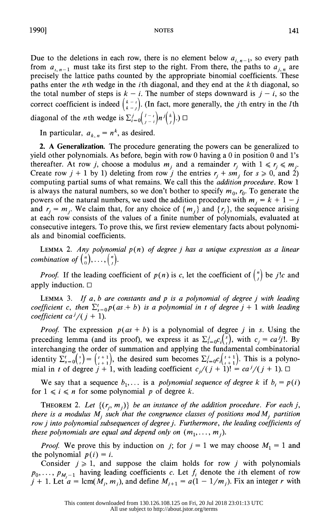Due to the deletions in each row, there is no element below  $a_{i, n-1}$ , so every path from  $a_{i,n-1}$  must take its first step to the right. From there, the paths to  $a_{i,n}$  are precisely the lattice paths counted by the appropriate binomial coefficients. These paths enter the *n*th wedge in the *i*th diagonal, and they end at the  $k$ th diagonal, so the total number of steps is  $k - i$ . The number of steps downward is  $j - i$ , so the correct coefficient is indeed  $\binom{k-i}{k-j}$ . (In fact, more generally, the *j*th entry in the *l*th diagonal of the *n*th wedge is  $\sum_{i=0}^{j} {l-i \choose j-i} n^{j} {k \choose j}$ .)  $\Box$ 

In particular,  $a_{k,n} = n^k$ , as desired.

 2. A Generalization. The procedure generating the powers can be generalized to yield other polynomials. As before, begin with row 0 having a 0 in position 0 and l's thereafter. At row j, choose a modulus  $m_i$  and a remainder  $r_i$  with  $1 \le r_i \le m_i$ . Create row  $j + 1$  by 1) deleting from row j the entries  $r_j + s m_j$  for  $s \ge 0$ , and 2) computing partial sums of what remains. We call this the addition procedure. Row I is always the natural numbers, so we don't bother to specify  $m_0$ ,  $r_0$ . To generate the powers of the natural numbers, we used the addition procedure with  $m_i = k + 1 - j$ and  $r_j = m_j$ . We claim that, for any choice of  $\{m_j\}$  and  $\{r_j\}$ , the sequence arising at each row consists of the values of a finite number of polynomials, evaluated at consecutive integers. To prove this, we first review elementary facts about polynomi als and binomial coefficients.

LEMMA 2. Any polynomial  $p(n)$  of degree j has a unique expression as a linear combination of  $\binom{n}{0}, \ldots, \binom{n}{k}$ .

*Proof.* If the leading coefficient of  $p(n)$  is c, let the coefficient of  $\binom{n}{i}$  be j!c and apply induction.  $\Box$ 

LEMMA 3. If  $a, b$  are constants and  $p$  is a polynomial of degree j with leading coefficient c, then  $\sum_{s=0}^{t} p(as + b)$  is a polynomial in t of degree j + 1 with leading coefficient ca<sup>j</sup>/(j + 1).

*Proof.* The expression  $p(as + b)$  is a polynomial of degree j in s. Using the preceding lemma (and its proof), we express it as  $\sum_{i=0}^{j}c_i\binom{s}{i}$ , with  $c_j = ca^j j!$ . By interchanging the order of summation and applying the fundamental combinatorial identity  $\Sigma_{s=0}^{t}$  ( $\zeta_{s}^{t}$ ) =  $\binom{t+1}{t+1}$ , the desired sum becomes  $\Sigma_{t=0}^{t}c_{t}$  ( $\zeta_{t+1}^{t+1}$ ). This is a polynomial in t of degree  $j + 1$ , with leading coefficient  $c_j/(j + 1)! = ca^j/(j + 1)$ .  $\Box$ 

We say that a sequence  $b_1, \ldots$  is a *polynomial sequence of degree* k if  $b_i = p(i)$ for  $1 \le i \le n$  for some polynomial p of degree k.

THEOREM 2. Let  $\{(r_j, m_j)\}\$  be an instance of the addition procedure. For each j, there is a modulus  $M_j$  such that the congruence classes of positions mod  $M_j$  partition row j into polynomial subsequences of degree j. Furthermore, the leading coefficients of these polynomials are equal and depend only on  $(m_1, \ldots, m_i)$ .

*Proof.* We prove this by induction on j; for  $j = 1$  we may choose  $M_1 = 1$  and the polynomial  $p(i) = i$ .

Consider  $j \ge 1$ , and suppose the claim holds for row j with polynomials  $p_0, \ldots, p_{M, -1}$  having leading coefficients c. Let  $f_i$  denote the *i*th element of row  $j + 1$ . Let  $a = \text{lcm}(M_i, m_i)$ , and define  $M_{i+1} = a(1 - 1/m_i)$ . Fix an integer r with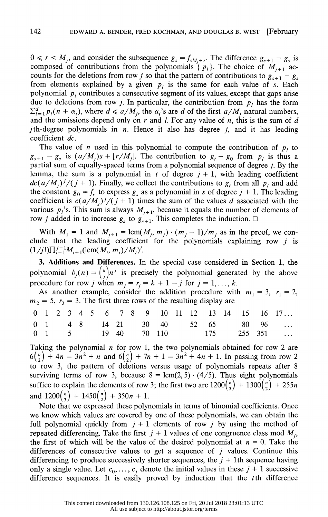$0 \le r \le M_i$ , and consider the subsequence  $g_s = f_{sM_i+r}$ . The difference  $g_{s+1} - g_s$  is composed of contributions from the polynomials  $\{p_l\}$ . The choice of  $M_{i+1}$  accounts for the deletions from row j so that the pattern of contributions to  $g_{s+1} - g_s$ from elements explained by a given  $p_i$  is the same for each value of s. Each polynomial  $p_i$  contributes a consecutive segment of its values, except that gaps arise due to deletions from row j. In particular, the contribution from  $p_i$  has the form  $\sum_{i=1}^d p_i(n + \alpha_i)$ , where  $d \le a/M_i$ , the  $\alpha_i$ 's are d of the first  $a/M_i$  natural numbers, and the omissions depend only on  $r$  and  $l$ . For any value of  $n$ , this is the sum of  $d$ *j*th-degree polynomials in *n*. Hence it also has degree *j*, and it has leading coefficient dc.

The value of *n* used in this polynomial to compute the contribution of  $p_i$  to  $g_{s+1} - g_s$  is  $(a/M_i)s + \lfloor r/M_i \rfloor$ . The contribution to  $g_t - g_0$  from  $p_i$  is thus a partial sum of equally-spaced terms from a polynomial sequence of degree j. By the lemma, the sum is a polynomial in t of degree  $j + 1$ , with leading coefficient  $dc(a/M_i)/(j + 1)$ . Finally, we collect the contributions to g, from all  $p_i$  and add the constant  $g_0 = f_r$  to express  $g_s$  as a polynomial in s of degree  $j + 1$ . The leading coefficient is  $c(a/M_i)^{j}/(j+1)$  times the sum of the values d associated with the various  $p_i$ 's. This sum is always  $M_{i+1}$ , because it equals the number of elements of row *j* added in to increase  $g_s$  to  $g_{s+1}$ . This completes the induction.  $\Box$ 

With  $M_1 = 1$  and  $M_{j+1} = \text{lcm}(M_j, m_j) \cdot (m_j - 1)/m_j$  as in the proof, we conclude that the leading coefficient for the polynomials explaining row  $j$  is  $(1/j!) \prod_{i=1}^{j-1} M_{i+1}(\text{lcm}(M_i, m_i)/M_i)^i$ .

 3. Additions and Differences. In the special case considered in Section 1, the polynomial  $b_j(n) = \binom{k}{i}n^j$  is precisely the polynomial generated by the above procedure for row j when  $m_j = r_j = k + 1 - j$  for  $j = 1, ..., k$ .

As another example, consider the addition procedure with  $m_1 = 3$ ,  $r_1 = 2$ ,  $m_2 = 5$ ,  $r_2 = 3$ . The first three rows of the resulting display are

|  |  |  |  |  |  |  |  | 0 1 2 3 4 5 6 7 8 9 10 11 12 13 14 15 16 17                                                                      |
|--|--|--|--|--|--|--|--|------------------------------------------------------------------------------------------------------------------|
|  |  |  |  |  |  |  |  | $0 \quad 1 \quad 4 \quad 8 \quad 14 \quad 21 \quad 30 \quad 40 \quad 52 \quad 65 \quad 80 \quad 96 \quad \ldots$ |
|  |  |  |  |  |  |  |  | $0 \quad 1 \qquad 5 \qquad 19 \quad 40 \qquad 70 \quad 110 \qquad 175 \qquad 255 \quad 351 \qquad \dots$         |

Taking the polynomial  $n$  for row 1, the two polynomials obtained for row 2 are  $6\binom{n}{2}$  + 4n = 3n<sup>2</sup> + n and  $6\binom{n}{2}$  + 7n + 1 = 3n<sup>2</sup> + 4n + 1. In passing from row 2 to row 3, the pattern of deletions versus usage of polynomials repeats after 8 surviving terms of row 3, because  $8 = \text{lcm}(2, 5) \cdot (4/5)$ . Thus eight polynomials suffice to explain the elements of row 3; the first two are  $1200\binom{n}{3} + 1300\binom{n}{2} + 255n$ and  $1200\binom{n}{3} + 1450\binom{n}{2} + 350n + 1$ .

 Note that we expressed these polynomials in terms of binomial coefficients. Once we know which values are covered by one of these polynomials, we can obtain the full polynomial quickly from  $j + 1$  elements of row j by using the method of repeated differencing. Take the first  $j + 1$  values of one congruence class mod  $M<sub>i</sub>$ , the first of which will be the value of the desired polynomial at  $n = 0$ . Take the differences of consecutive values to get a sequence of  $j$  values. Continue this differencing to produce successively shorter sequences, the  $j + 1$ th sequence having only a single value. Let  $c_0, \ldots, c_j$  denote the initial values in these  $j + 1$  successive difference sequences. It is easily proved by induction that the  $t$ th difference